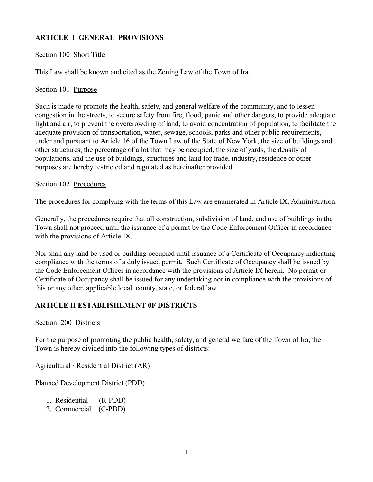# **ARTICLE I GENERAL PROVISIONS**

### Section 100 Short Title

This Law shall be known and cited as the Zoning Law of the Town of Ira.

Section 101 Purpose

Such is made to promote the health, safety, and general welfare of the community, and to lessen congestion in the streets, to secure safety from fire, flood, panic and other dangers, to provide adequate light and air, to prevent the overcrowding of land, to avoid concentration of population, to facilitate the adequate provision of transportation, water, sewage, schools, parks and other public requirements, under and pursuant to Article 16 of the Town Law of the State of New York, the size of buildings and other structures, the percentage of a lot that may be occupied, the size of yards, the density of populations, and the use of buildings, structures and land for trade, industry, residence or other purposes are hereby restricted and regulated as hereinafter provided.

#### Section 102 Procedures

The procedures for complying with the terms of this Law are enumerated in Article IX, Administration.

Generally, the procedures require that all construction, subdivision of land, and use of buildings in the Town shall not proceed until the issuance of a permit by the Code Enforcement Officer in accordance with the provisions of Article IX.

Nor shall any land be used or building occupied until issuance of a Certificate of Occupancy indicating compliance with the terms of a duly issued permit. Such Certificate of Occupancy shall be issued by the Code Enforcement Officer in accordance with the provisions of Article IX herein. No permit or Certificate of Occupancy shall be issued for any undertaking not in compliance with the provisions of this or any other, applicable local, county, state, or federal law.

## **ARTICLE II ESTABLISHLMENT 0F DISTRICTS**

Section 200 Districts

For the purpose of promoting the public health, safety, and general welfare of the Town of Ira, the Town is hereby divided into the following types of districts:

Agricultural / Residential District (AR)

Planned Development District (PDD)

| 1. Residential | $(R-PDD)$ |
|----------------|-----------|
|----------------|-----------|

2. Commercial (C-PDD)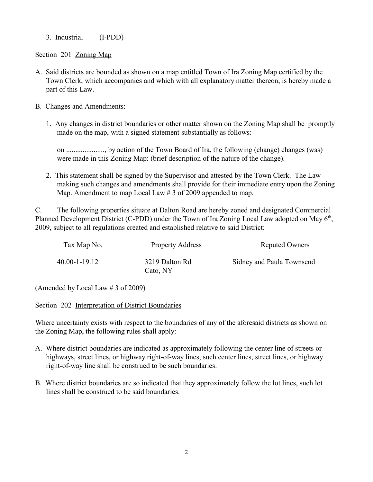3. Industrial (I-PDD)

Section 201 Zoning Map

- A. Said districts are bounded as shown on a map entitled Town of Ira Zoning Map certified by the Town Clerk, which accompanies and which with all explanatory matter thereon, is hereby made a part of this Law.
- B. Changes and Amendments:
	- 1. Any changes in district boundaries or other matter shown on the Zoning Map shall be promptly made on the map, with a signed statement substantially as follows:

on ....................., by action of the Town Board of Ira, the following (change) changes (was) were made in this Zoning Map: (brief description of the nature of the change).

2. This statement shall be signed by the Supervisor and attested by the Town Clerk. The Law making such changes and amendments shall provide for their immediate entry upon the Zoning Map. Amendment to map Local Law # 3 of 2009 appended to map.

C. The following properties situate at Dalton Road are hereby zoned and designated Commercial Planned Development District (C-PDD) under the Town of Ira Zoning Local Law adopted on May  $6<sup>th</sup>$ , 2009, subject to all regulations created and established relative to said District:

| Tax Map No.   | <b>Property Address</b>    | <b>Reputed Owners</b>     |
|---------------|----------------------------|---------------------------|
| 40.00-1-19.12 | 3219 Dalton Rd<br>Cato, NY | Sidney and Paula Townsend |

(Amended by Local Law # 3 of 2009)

Section 202 Interpretation of District Boundaries

Where uncertainty exists with respect to the boundaries of any of the aforesaid districts as shown on the Zoning Map, the following rules shall apply:

- A. Where district boundaries are indicated as approximately following the center line of streets or highways, street lines, or highway right-of-way lines, such center lines, street lines, or highway right-of-way line shall be construed to be such boundaries.
- B. Where district boundaries are so indicated that they approximately follow the lot lines, such lot lines shall be construed to be said boundaries.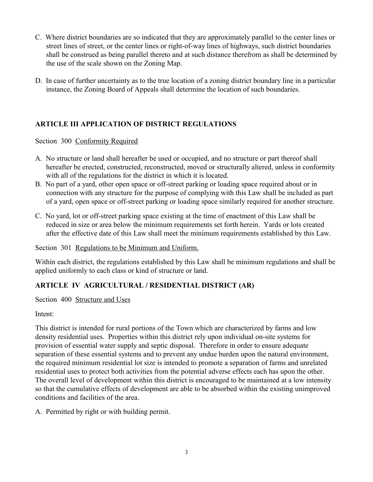- C. Where district boundaries are so indicated that they are approximately parallel to the center lines or street lines of street, or the center lines or right-of-way lines of highways, such district boundaries shall be construed as being parallel thereto and at such distance therefrom as shall be determined by the use of the scale shown on the Zoning Map.
- D. In case of further uncertainty as to the true location of a zoning district boundary line in a particular instance, the Zoning Board of Appeals shall determine the location of such boundaries.

# **ARTICLE III APPLICATION OF DISTRICT REGULATIONS**

Section 300 Conformity Required

- A. No structure or land shall hereafter be used or occupied, and no structure or part thereof shall hereafter be erected, constructed, reconstructed, moved or structurally altered, unless in conformity with all of the regulations for the district in which it is located.
- B. No part of a yard, other open space or off-street parking or loading space required about or in connection with any structure for the purpose of complying with this Law shall be included as part of a yard, open space or off-street parking or loading space similarly required for another structure.
- C. No yard, lot or off-street parking space existing at the time of enactment of this Law shall be reduced in size or area below the minimum requirements set forth herein. Yards or lots created after the effective date of this Law shall meet the minimum requirements established by this Law.

# Section 301 Regulations to be Minimum and Uniform.

Within each district, the regulations established by this Law shall be minimum regulations and shall be applied uniformly to each class or kind of structure or land.

# **ARTICLE IV AGRICULTURAL / RESIDENTIAL DISTRICT (AR)**

Section 400 Structure and Uses

# Intent:

This district is intended for rural portions of the Town which are characterized by farms and low density residential uses. Properties within this district rely upon individual on-site systems for provision of essential water supply and septic disposal. Therefore in order to ensure adequate separation of these essential systems and to prevent any undue burden upon the natural environment, the required minimum residential lot size is intended to promote a separation of farms and unrelated residential uses to protect both activities from the potential adverse effects each has upon the other. The overall level of development within this district is encouraged to be maintained at a low intensity so that the cumulative effects of development are able to be absorbed within the existing unimproved conditions and facilities of the area.

A. Permitted by right or with building permit.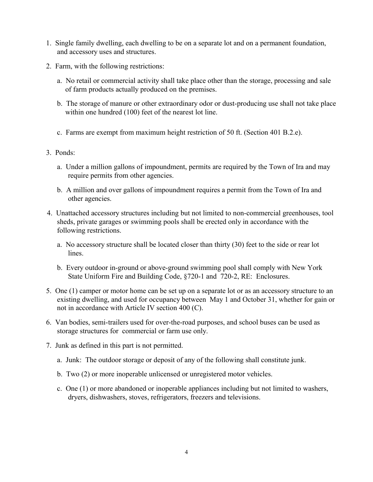- 1. Single family dwelling, each dwelling to be on a separate lot and on a permanent foundation, and accessory uses and structures.
- 2. Farm, with the following restrictions:
	- a. No retail or commercial activity shall take place other than the storage, processing and sale of farm products actually produced on the premises.
	- b. The storage of manure or other extraordinary odor or dust-producing use shall not take place within one hundred (100) feet of the nearest lot line.
	- c. Farms are exempt from maximum height restriction of 50 ft. (Section 401 B.2.e).
- 3. Ponds:
	- a. Under a million gallons of impoundment, permits are required by the Town of Ira and may require permits from other agencies.
	- b. A million and over gallons of impoundment requires a permit from the Town of Ira and other agencies.
- 4. Unattached accessory structures including but not limited to non-commercial greenhouses, tool sheds, private garages or swimming pools shall be erected only in accordance with the following restrictions.
	- a. No accessory structure shall be located closer than thirty (30) feet to the side or rear lot lines.
	- b. Every outdoor in-ground or above-ground swimming pool shall comply with New York State Uniform Fire and Building Code, §720-1 and 720-2, RE: Enclosures.
- 5. One (1) camper or motor home can be set up on a separate lot or as an accessory structure to an existing dwelling, and used for occupancy between May 1 and October 31, whether for gain or not in accordance with Article IV section 400 (C).
- 6. Van bodies, semi-trailers used for over-the-road purposes, and school buses can be used as storage structures for commercial or farm use only.
- 7. Junk as defined in this part is not permitted.
	- a. Junk: The outdoor storage or deposit of any of the following shall constitute junk.
	- b. Two (2) or more inoperable unlicensed or unregistered motor vehicles.
	- c. One (1) or more abandoned or inoperable appliances including but not limited to washers, dryers, dishwashers, stoves, refrigerators, freezers and televisions.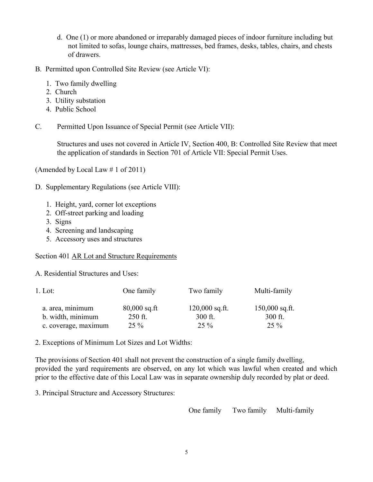- d. One (1) or more abandoned or irreparably damaged pieces of indoor furniture including but not limited to sofas, lounge chairs, mattresses, bed frames, desks, tables, chairs, and chests of drawers.
- B. Permitted upon Controlled Site Review (see Article VI):
	- 1. Two family dwelling
	- 2. Church
	- 3. Utility substation
	- 4. Public School
- C. Permitted Upon Issuance of Special Permit (see Article VII):

Structures and uses not covered in Article IV, Section 400, B: Controlled Site Review that meet the application of standards in Section 701 of Article VII: Special Permit Uses.

(Amended by Local Law # 1 of 2011)

- D. Supplementary Regulations (see Article VIII):
	- 1. Height, yard, corner lot exceptions
	- 2. Off-street parking and loading
	- 3. Signs
	- 4. Screening and landscaping
	- 5. Accessory uses and structures

#### Section 401 AR Lot and Structure Requirements

A. Residential Structures and Uses:

| $1.$ Lot:                             | One family                | Two family                    | Multi-family                |
|---------------------------------------|---------------------------|-------------------------------|-----------------------------|
| a. area, minimum<br>b. width, minimum | $80,000$ sq.ft<br>250 ft. | $120,000$ sq.ft.<br>$300$ ft. | $150,000$ sq.ft.<br>300 ft. |
| c. coverage, maximum                  | $25\%$                    | $25\%$                        | $25\%$                      |

2. Exceptions of Minimum Lot Sizes and Lot Widths:

The provisions of Section 401 shall not prevent the construction of a single family dwelling, provided the yard requirements are observed, on any lot which was lawful when created and which prior to the effective date of this Local Law was in separate ownership duly recorded by plat or deed.

3. Principal Structure and Accessory Structures:

One family Two family Multi-family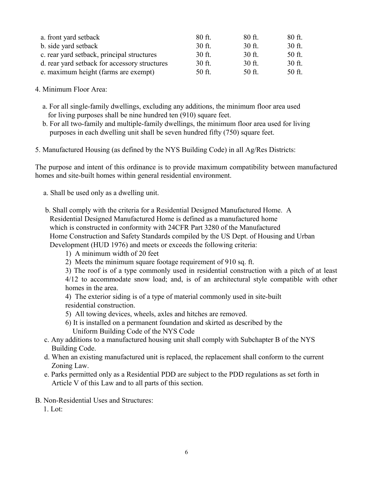| a. front yard setback                         | 80 ft. | $80$ ft. | 80 ft. |
|-----------------------------------------------|--------|----------|--------|
| b. side yard setback                          | 30 ft. | 30 ft.   | 30 ft. |
| c. rear yard setback, principal structures    | 30 ft. | 30 ft.   | 50 ft. |
| d. rear yard setback for accessory structures | 30 ft. | $30$ ft. | 30 ft. |
| e. maximum height (farms are exempt)          | 50 ft. | 50 ft.   | 50 ft. |

- 4. Minimum Floor Area:
	- a. For all single-family dwellings, excluding any additions, the minimum floor area used for living purposes shall be nine hundred ten (910) square feet.
	- b. For all two-family and multiple-family dwellings, the minimum floor area used for living purposes in each dwelling unit shall be seven hundred fifty (750) square feet.
- 5. Manufactured Housing (as defined by the NYS Building Code) in all Ag/Res Districts:

The purpose and intent of this ordinance is to provide maximum compatibility between manufactured homes and site-built homes within general residential environment.

- a. Shall be used only as a dwelling unit.
- b. Shall comply with the criteria for a Residential Designed Manufactured Home. A Residential Designed Manufactured Home is defined as a manufactured home which is constructed in conformity with 24CFR Part 3280 of the Manufactured Home Construction and Safety Standards compiled by the US Dept. of Housing and Urban Development (HUD 1976) and meets or exceeds the following criteria:
	- 1) A minimum width of 20 feet
	- 2) Meets the minimum square footage requirement of 910 sq. ft.
	- 3) The roof is of a type commonly used in residential construction with a pitch of at least

4/12 to accommodate snow load; and, is of an architectural style compatible with other homes in the area.

- 4) The exterior siding is of a type of material commonly used in site-built residential construction.
- 5) All towing devices, wheels, axles and hitches are removed.
- 6) It is installed on a permanent foundation and skirted as described by the Uniform Building Code of the NYS Code
- c. Any additions to a manufactured housing unit shall comply with Subchapter B of the NYS Building Code.
- d. When an existing manufactured unit is replaced, the replacement shall conform to the current Zoning Law.
- e. Parks permitted only as a Residential PDD are subject to the PDD regulations as set forth in Article V of this Law and to all parts of this section.
- B. Non-Residential Uses and Structures:
	- 1. Lot: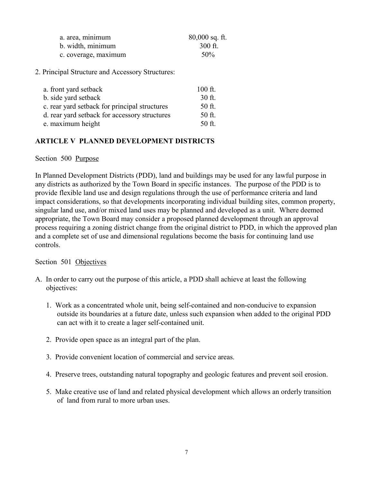| a. area, minimum     | $80,000$ sq. ft. |
|----------------------|------------------|
| b. width, minimum    | 300 ft.          |
| c. coverage, maximum | 50%              |

2. Principal Structure and Accessory Structures:

| a. front yard setback                         | $100$ ft. |
|-----------------------------------------------|-----------|
| b. side yard setback                          | 30 ft.    |
| c. rear yard setback for principal structures | 50 ft.    |
| d. rear yard setback for accessory structures | 50 ft.    |
| e. maximum height                             | $50$ ft.  |

### **ARTICLE V PLANNED DEVELOPMENT DISTRICTS**

#### Section 500 Purpose

In Planned Development Districts (PDD), land and buildings may be used for any lawful purpose in any districts as authorized by the Town Board in specific instances. The purpose of the PDD is to provide flexible land use and design regulations through the use of performance criteria and land impact considerations, so that developments incorporating individual building sites, common property, singular land use, and/or mixed land uses may be planned and developed as a unit. Where deemed appropriate, the Town Board may consider a proposed planned development through an approval process requiring a zoning district change from the original district to PDD, in which the approved plan and a complete set of use and dimensional regulations become the basis for continuing land use controls.

#### Section 501 Objectives

- A. In order to carry out the purpose of this article, a PDD shall achieve at least the following objectives:
	- 1. Work as a concentrated whole unit, being self-contained and non-conducive to expansion outside its boundaries at a future date, unless such expansion when added to the original PDD can act with it to create a lager self-contained unit.
	- 2. Provide open space as an integral part of the plan.
	- 3. Provide convenient location of commercial and service areas.
	- 4. Preserve trees, outstanding natural topography and geologic features and prevent soil erosion.
	- 5. Make creative use of land and related physical development which allows an orderly transition of land from rural to more urban uses.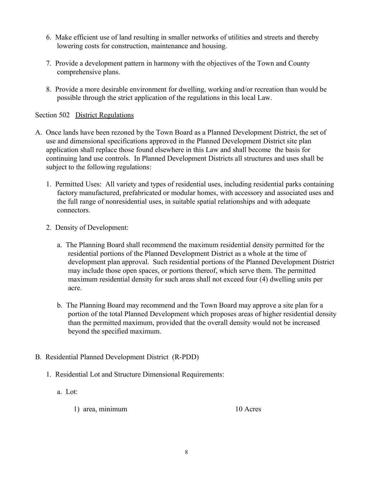- 6. Make efficient use of land resulting in smaller networks of utilities and streets and thereby lowering costs for construction, maintenance and housing.
- 7. Provide a development pattern in harmony with the objectives of the Town and County comprehensive plans.
- 8. Provide a more desirable environment for dwelling, working and/or recreation than would be possible through the strict application of the regulations in this local Law.

### Section 502 District Regulations

- A. Once lands have been rezoned by the Town Board as a Planned Development District, the set of use and dimensional specifications approved in the Planned Development District site plan application shall replace those found elsewhere in this Law and shall become the basis for continuing land use controls. In Planned Development Districts all structures and uses shall be subject to the following regulations:
	- 1. Permitted Uses: All variety and types of residential uses, including residential parks containing factory manufactured, prefabricated or modular homes, with accessory and associated uses and the full range of nonresidential uses, in suitable spatial relationships and with adequate connectors.
	- 2. Density of Development:
		- a. The Planning Board shall recommend the maximum residential density permitted for the residential portions of the Planned Development District as a whole at the time of development plan approval. Such residential portions of the Planned Development District may include those open spaces, or portions thereof, which serve them. The permitted maximum residential density for such areas shall not exceed four (4) dwelling units per acre.
		- b. The Planning Board may recommend and the Town Board may approve a site plan for a portion of the total Planned Development which proposes areas of higher residential density than the permitted maximum, provided that the overall density would not be increased beyond the specified maximum.
- B. Residential Planned Development District (R-PDD)
	- 1. Residential Lot and Structure Dimensional Requirements:
		- a. Lot:
			- 1) area, minimum 10 Acres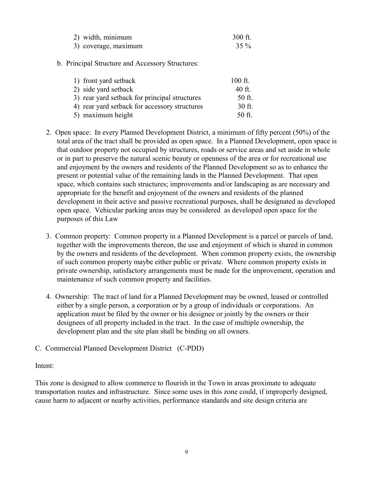| 2) width, minimum    | $300$ ft. |
|----------------------|-----------|
| 3) coverage, maximum | $35\%$    |

b. Principal Structure and Accessory Structures:

| 1) front yard setback                         | $100$ ft. |
|-----------------------------------------------|-----------|
| 2) side yard setback                          | 40 ft.    |
| 3) rear yard setback for principal structures | 50 ft.    |
| 4) rear yard setback for accessory structures | 30 ft.    |
| 5) maximum height                             | 50 ft.    |

- 2. Open space: In every Planned Development District, a minimum of fifty percent (50%) of the total area of the tract shall be provided as open space. In a Planned Development, open space is that outdoor property not occupied by structures, roads or service areas and set aside in whole or in part to preserve the natural scenic beauty or openness of the area or for recreational use and enjoyment by the owners and residents of the Planned Development so as to enhance the present or potential value of the remaining lands in the Planned Development. That open space, which contains such structures; improvements and/or landscaping as are necessary and appropriate for the benefit and enjoyment of the owners and residents of the planned development in their active and passive recreational purposes, shall be designated as developed open space. Vehicular parking areas may be considered as developed open space for the purposes of this Law
- 3. Common property: Common property in a Planned Development is a parcel or parcels of land, together with the improvements thereon, the use and enjoyment of which is shared in common by the owners and residents of the development. When common property exists, the ownership of such common property maybe either public or private. Where common property exists in private ownership, satisfactory arrangements must be made for the improvement, operation and maintenance of such common property and facilities.
- 4. Ownership: The tract of land for a Planned Development may be owned, leased or controlled either by a single person, a corporation or by a group of individuals or corporations. An application must be filed by the owner or his designee or jointly by the owners or their designees of all property included in the tract. In the case of multiple ownership, the development plan and the site plan shall be binding on all owners.
- C. Commercial Planned Development District (C-PDD)

#### Intent:

This zone is designed to allow commerce to flourish in the Town in areas proximate to adequate transportation routes and infrastructure. Since some uses in this zone could, if improperly designed, cause harm to adjacent or nearby activities, performance standards and site design criteria are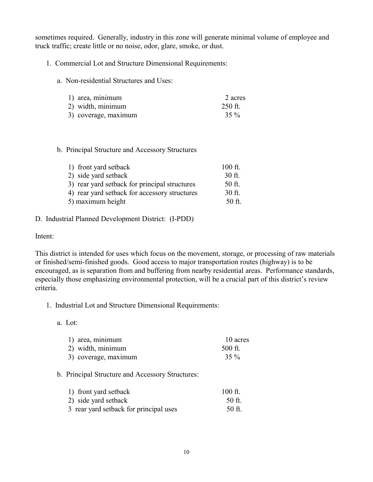sometimes required. Generally, industry in this zone will generate minimal volume of employee and truck traffic; create little or no noise, odor, glare, smoke, or dust.

- 1. Commercial Lot and Structure Dimensional Requirements:
	- a. Non-residential Structures and Uses:

| 1) area, minimum     | 2 acres |
|----------------------|---------|
| 2) width, minimum    | 250 ft. |
| 3) coverage, maximum | $35\%$  |

#### b. Principal Structure and Accessory Structures

| 1) front yard setback                         | $100$ ft. |
|-----------------------------------------------|-----------|
| 2) side yard setback                          | 30 ft.    |
| 3) rear yard setback for principal structures | 50 ft.    |
| 4) rear yard setback for accessory structures | $30$ ft.  |
| 5) maximum height                             | 50 ft.    |

#### D. Industrial Planned Development District: (I-PDD)

Intent:

This district is intended for uses which focus on the movement, storage, or processing of raw materials or finished/semi-finished goods. Good access to major transportation routes (highway) is to be encouraged, as is separation from and buffering from nearby residential areas. Performance standards, especially those emphasizing environmental protection, will be a crucial part of this district's review criteria.

- 1. Industrial Lot and Structure Dimensional Requirements:
	- a. Lot:

| 1) area, minimum     | 10 acres |
|----------------------|----------|
| 2) width, minimum    | 500 ft.  |
| 3) coverage, maximum | $35\%$   |

b. Principal Structure and Accessory Structures:

| 1) front yard setback                  | $100$ ft. |
|----------------------------------------|-----------|
| 2) side yard setback                   | 50 ft.    |
| 3 rear yard setback for principal uses | 50 ft.    |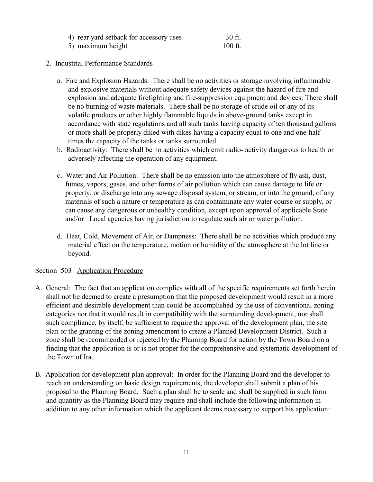| 4) rear yard setback for accessory uses | 30 ft.    |
|-----------------------------------------|-----------|
| 5) maximum height                       | $100$ ft. |

### 2. Industrial Performance Standards

- a. Fire and Explosion Hazards: There shall be no activities or storage involving inflammable and explosive materials without adequate safety devices against the hazard of fire and explosion and adequate firefighting and fire-suppression equipment and devices. There shall be no burning of waste materials. There shall be no storage of crude oil or any of its volatile products or other highly flammable liquids in above-ground tanks except in accordance with state regulations and all such tanks having capacity of ten thousand gallons or more shall be properly diked with dikes having a capacity equal to one and one-half times the capacity of the tanks or tanks surrounded.
- b. Radioactivity: There shall be no activities which emit radio- activity dangerous to health or adversely affecting the operation of any equipment.
- c. Water and Air Pollution: There shall be no emission into the atmosphere of fly ash, dust, fumes, vapors, gases, and other forms of air pollution which can cause damage to life or property, or discharge into any sewage disposal system, or stream, or into the ground, of any materials of such a nature or temperature as can contaminate any water course or supply, or can cause any dangerous or unhealthy condition, except upon approval of applicable State and/or Local agencies having jurisdiction to regulate such air or water pollution.
- d. Heat, Cold, Movement of Air, or Dampness: There shall be no activities which produce any material effect on the temperature, motion or humidity of the atmosphere at the lot line or beyond.

#### Section 503 Application Procedure

- A. General: The fact that an application complies with all of the specific requirements set forth herein shall not be deemed to create a presumption that the proposed development would result in a more efficient and desirable development than could be accomplished by the use of conventional zoning categories nor that it would result in compatibility with the surrounding development, nor shall such compliance, by itself, be sufficient to require the approval of the development plan, the site plan or the granting of the zoning amendment to create a Planned Development District. Such a zone shall be recommended or rejected by the Planning Board for action by the Town Board on a finding that the application is or is not proper for the comprehensive and systematic development of the Town of Ira.
- B. Application for development plan approval: In order for the Planning Board and the developer to reach an understanding on basic design requirements, the developer shall submit a plan of his proposal to the Planning Board. Such a plan shall be to scale and shall be supplied in such form and quantity as the Planning Board may require and shall include the following information in addition to any other information which the applicant deems necessary to support his application: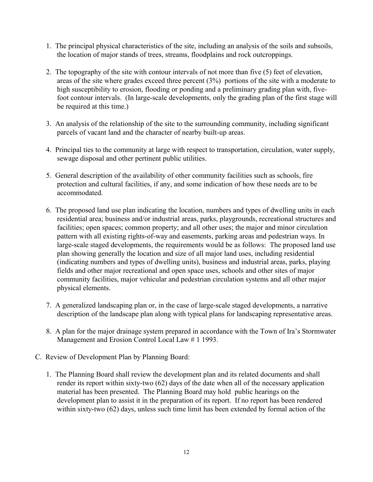- 1. The principal physical characteristics of the site, including an analysis of the soils and subsoils, the location of major stands of trees, streams, floodplains and rock outcroppings.
- 2. The topography of the site with contour intervals of not more than five (5) feet of elevation, areas of the site where grades exceed three percent (3%) portions of the site with a moderate to high susceptibility to erosion, flooding or ponding and a preliminary grading plan with, fivefoot contour intervals. (In large-scale developments, only the grading plan of the first stage will be required at this time.)
- 3. An analysis of the relationship of the site to the surrounding community, including significant parcels of vacant land and the character of nearby built-up areas.
- 4. Principal ties to the community at large with respect to transportation, circulation, water supply, sewage disposal and other pertinent public utilities.
- 5. General description of the availability of other community facilities such as schools, fire protection and cultural facilities, if any, and some indication of how these needs are to be accommodated.
- 6. The proposed land use plan indicating the location, numbers and types of dwelling units in each residential area; business and/or industrial areas, parks, playgrounds, recreational structures and facilities; open spaces; common property; and all other uses; the major and minor circulation pattern with all existing rights-of-way and easements, parking areas and pedestrian ways. In large-scale staged developments, the requirements would be as follows: The proposed land use plan showing generally the location and size of all major land uses, including residential (indicating numbers and types of dwelling units), business and industrial areas, parks, playing fields and other major recreational and open space uses, schools and other sites of major community facilities, major vehicular and pedestrian circulation systems and all other major physical elements.
- 7. A generalized landscaping plan or, in the case of large-scale staged developments, a narrative description of the landscape plan along with typical plans for landscaping representative areas.
- 8. A plan for the major drainage system prepared in accordance with the Town of Ira's Stormwater Management and Erosion Control Local Law # 1 1993.
- C. Review of Development Plan by Planning Board:
	- 1. The Planning Board shall review the development plan and its related documents and shall render its report within sixty-two (62) days of the date when all of the necessary application material has been presented. The Planning Board may hold public hearings on the development plan to assist it in the preparation of its report. If no report has been rendered within sixty-two (62) days, unless such time limit has been extended by formal action of the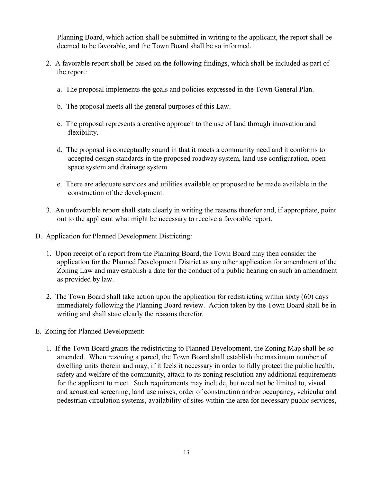Planning Board, which action shall be submitted in writing to the applicant, the report shall be deemed to be favorable, and the Town Board shall be so informed.

- 2. A favorable report shall be based on the following findings, which shall be included as part of the report:
	- a. The proposal implements the goals and policies expressed in the Town General Plan.
	- b. The proposal meets all the general purposes of this Law.
	- c. The proposal represents a creative approach to the use of land through innovation and flexibility.
	- d. The proposal is conceptually sound in that it meets a community need and it conforms to accepted design standards in the proposed roadway system, land use configuration, open space system and drainage system.
	- e. There are adequate services and utilities available or proposed to be made available in the construction of the development.
- 3. An unfavorable report shall state clearly in writing the reasons therefor and, if appropriate, point out to the applicant what might be necessary to receive a favorable report.
- D. Application for Planned Development Districting:
	- 1. Upon receipt of a report from the Planning Board, the Town Board may then consider the application for the Planned Development District as any other application for amendment of the Zoning Law and may establish a date for the conduct of a public hearing on such an amendment as provided by law.
	- 2. The Town Board shall take action upon the application for redistricting within sixty (60) days immediately following the Planning Board review. Action taken by the Town Board shall be in writing and shall state clearly the reasons therefor.
- E. Zoning for Planned Development:
	- 1. If the Town Board grants the redistricting to Planned Development, the Zoning Map shall be so amended. When rezoning a parcel, the Town Board shall establish the maximum number of dwelling units therein and may, if it feels it necessary in order to fully protect the public health, safety and welfare of the community, attach to its zoning resolution any additional requirements for the applicant to meet. Such requirements may include, but need not be limited to, visual and acoustical screening, land use mixes, order of construction and/or occupancy, vehicular and pedestrian circulation systems, availability of sites within the area for necessary public services,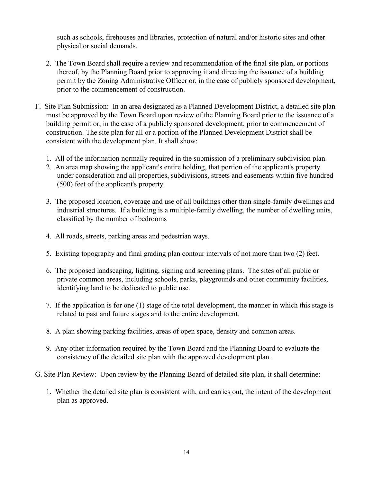such as schools, firehouses and libraries, protection of natural and/or historic sites and other physical or social demands.

- 2. The Town Board shall require a review and recommendation of the final site plan, or portions thereof, by the Planning Board prior to approving it and directing the issuance of a building permit by the Zoning Administrative Officer or, in the case of publicly sponsored development, prior to the commencement of construction.
- F. Site Plan Submission: In an area designated as a Planned Development District, a detailed site plan must be approved by the Town Board upon review of the Planning Board prior to the issuance of a building permit or, in the case of a publicly sponsored development, prior to commencement of construction. The site plan for all or a portion of the Planned Development District shall be consistent with the development plan. It shall show:
	- 1. All of the information normally required in the submission of a preliminary subdivision plan.
	- 2. An area map showing the applicant's entire holding, that portion of the applicant's property under consideration and all properties, subdivisions, streets and easements within five hundred (500) feet of the applicant's property.
	- 3. The proposed location, coverage and use of all buildings other than single-family dwellings and industrial structures. If a building is a multiple-family dwelling, the number of dwelling units, classified by the number of bedrooms
	- 4. All roads, streets, parking areas and pedestrian ways.
	- 5. Existing topography and final grading plan contour intervals of not more than two (2) feet.
	- 6. The proposed landscaping, lighting, signing and screening plans. The sites of all public or private common areas, including schools, parks, playgrounds and other community facilities, identifying land to be dedicated to public use.
	- 7. If the application is for one (1) stage of the total development, the manner in which this stage is related to past and future stages and to the entire development.
	- 8. A plan showing parking facilities, areas of open space, density and common areas.
	- 9. Any other information required by the Town Board and the Planning Board to evaluate the consistency of the detailed site plan with the approved development plan.
- G. Site Plan Review: Upon review by the Planning Board of detailed site plan, it shall determine:
	- 1. Whether the detailed site plan is consistent with, and carries out, the intent of the development plan as approved.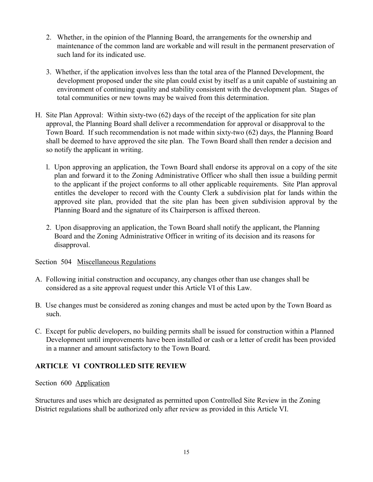- 2. Whether, in the opinion of the Planning Board, the arrangements for the ownership and maintenance of the common land are workable and will result in the permanent preservation of such land for its indicated use.
- 3. Whether, if the application involves less than the total area of the Planned Development, the development proposed under the site plan could exist by itself as a unit capable of sustaining an environment of continuing quality and stability consistent with the development plan. Stages of total communities or new towns may be waived from this determination.
- H. Site Plan Approval: Within sixty-two (62) days of the receipt of the application for site plan approval, the Planning Board shall deliver a recommendation for approval or disapproval to the Town Board. If such recommendation is not made within sixty-two (62) days, the Planning Board shall be deemed to have approved the site plan. The Town Board shall then render a decision and so notify the applicant in writing.
	- l. Upon approving an application, the Town Board shall endorse its approval on a copy of the site plan and forward it to the Zoning Administrative Officer who shall then issue a building permit to the applicant if the project conforms to all other applicable requirements. Site Plan approval entitles the developer to record with the County Clerk a subdivision plat for lands within the approved site plan, provided that the site plan has been given subdivision approval by the Planning Board and the signature of its Chairperson is affixed thereon.
	- 2. Upon disapproving an application, the Town Board shall notify the applicant, the Planning Board and the Zoning Administrative Officer in writing of its decision and its reasons for disapproval.

## Section 504 Miscellaneous Regulations

- A. Following initial construction and occupancy, any changes other than use changes shall be considered as a site approval request under this Article VI of this Law.
- B. Use changes must be considered as zoning changes and must be acted upon by the Town Board as such.
- C. Except for public developers, no building permits shall be issued for construction within a Planned Development until improvements have been installed or cash or a letter of credit has been provided in a manner and amount satisfactory to the Town Board.

# **ARTICLE VI CONTROLLED SITE REVIEW**

Section 600 Application

Structures and uses which are designated as permitted upon Controlled Site Review in the Zoning District regulations shall be authorized only after review as provided in this Article VI.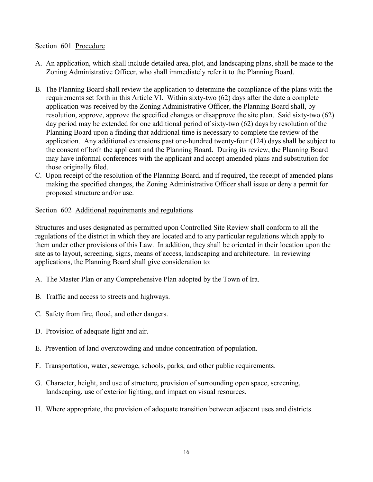### Section 601 Procedure

- A. An application, which shall include detailed area, plot, and landscaping plans, shall be made to the Zoning Administrative Officer, who shall immediately refer it to the Planning Board.
- B. The Planning Board shall review the application to determine the compliance of the plans with the requirements set forth in this Article VI. Within sixty-two (62) days after the date a complete application was received by the Zoning Administrative Officer, the Planning Board shall, by resolution, approve, approve the specified changes or disapprove the site plan. Said sixty-two (62) day period may be extended for one additional period of sixty-two (62) days by resolution of the Planning Board upon a finding that additional time is necessary to complete the review of the application. Any additional extensions past one-hundred twenty-four (124) days shall be subject to the consent of both the applicant and the Planning Board. During its review, the Planning Board may have informal conferences with the applicant and accept amended plans and substitution for those originally filed.
- C. Upon receipt of the resolution of the Planning Board, and if required, the receipt of amended plans making the specified changes, the Zoning Administrative Officer shall issue or deny a permit for proposed structure and/or use.

Section 602 Additional requirements and regulations

Structures and uses designated as permitted upon Controlled Site Review shall conform to all the regulations of the district in which they are located and to any particular regulations which apply to them under other provisions of this Law. In addition, they shall be oriented in their location upon the site as to layout, screening, signs, means of access, landscaping and architecture. In reviewing applications, the Planning Board shall give consideration to:

- A. The Master Plan or any Comprehensive Plan adopted by the Town of Ira.
- B. Traffic and access to streets and highways.
- C. Safety from fire, flood, and other dangers.
- D. Provision of adequate light and air.
- E. Prevention of land overcrowding and undue concentration of population.
- F. Transportation, water, sewerage, schools, parks, and other public requirements.
- G. Character, height, and use of structure, provision of surrounding open space, screening, landscaping, use of exterior lighting, and impact on visual resources.
- H. Where appropriate, the provision of adequate transition between adjacent uses and districts.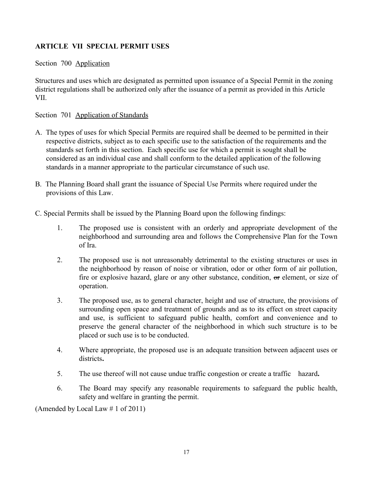# **ARTICLE VII SPECIAL PERMIT USES**

### Section 700 Application

Structures and uses which are designated as permitted upon issuance of a Special Permit in the zoning district regulations shall be authorized only after the issuance of a permit as provided in this Article VII.

### Section 701 Application of Standards

- A. The types of uses for which Special Permits are required shall be deemed to be permitted in their respective districts, subject as to each specific use to the satisfaction of the requirements and the standards set forth in this section. Each specific use for which a permit is sought shall be considered as an individual case and shall conform to the detailed application of the following standards in a manner appropriate to the particular circumstance of such use.
- B. The Planning Board shall grant the issuance of Special Use Permits where required under the provisions of this Law.

C. Special Permits shall be issued by the Planning Board upon the following findings:

- 1. The proposed use is consistent with an orderly and appropriate development of the neighborhood and surrounding area and follows the Comprehensive Plan for the Town of Ira.
- 2. The proposed use is not unreasonably detrimental to the existing structures or uses in the neighborhood by reason of noise or vibration, odor or other form of air pollution, fire or explosive hazard, glare or any other substance, condition, or element, or size of operation.
- 3. The proposed use, as to general character, height and use of structure, the provisions of surrounding open space and treatment of grounds and as to its effect on street capacity and use, is sufficient to safeguard public health, comfort and convenience and to preserve the general character of the neighborhood in which such structure is to be placed or such use is to be conducted.
- 4. Where appropriate, the proposed use is an adequate transition between adjacent uses or districts**.**
- 5. The use thereof will not cause undue traffic congestion or create a traffic hazard**.**
- 6. The Board may specify any reasonable requirements to safeguard the public health, safety and welfare in granting the permit.

(Amended by Local Law # 1 of 2011)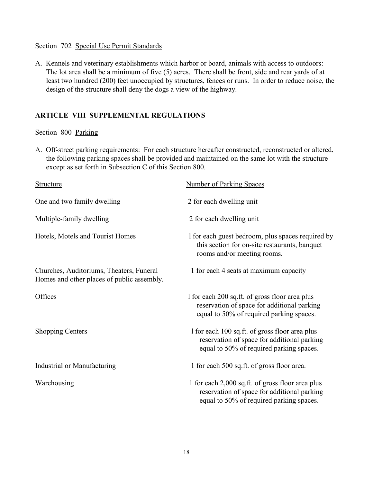#### Section 702 Special Use Permit Standards

A. Kennels and veterinary establishments which harbor or board, animals with access to outdoors: The lot area shall be a minimum of five (5) acres. There shall be front, side and rear yards of at least two hundred (200) feet unoccupied by structures, fences or runs. In order to reduce noise, the design of the structure shall deny the dogs a view of the highway.

## **ARTICLE VIII SUPPLEMENTAL REGULATIONS**

### Section 800 Parking

A. Off-street parking requirements: For each structure hereafter constructed, reconstructed or altered, the following parking spaces shall be provided and maintained on the same lot with the structure except as set forth in Subsection C of this Section 800.

| <b>Structure</b>                                                                       | <b>Number of Parking Spaces</b>                                                                                                             |
|----------------------------------------------------------------------------------------|---------------------------------------------------------------------------------------------------------------------------------------------|
| One and two family dwelling                                                            | 2 for each dwelling unit                                                                                                                    |
| Multiple-family dwelling                                                               | 2 for each dwelling unit                                                                                                                    |
| Hotels, Motels and Tourist Homes                                                       | I for each guest bedroom, plus spaces required by<br>this section for on-site restaurants, banquet<br>rooms and/or meeting rooms.           |
| Churches, Auditoriums, Theaters, Funeral<br>Homes and other places of public assembly. | 1 for each 4 seats at maximum capacity                                                                                                      |
| Offices                                                                                | 1 for each 200 sq.ft. of gross floor area plus<br>reservation of space for additional parking<br>equal to 50% of required parking spaces.   |
| <b>Shopping Centers</b>                                                                | 1 for each 100 sq.ft. of gross floor area plus<br>reservation of space for additional parking<br>equal to 50% of required parking spaces.   |
| Industrial or Manufacturing                                                            | 1 for each 500 sq.ft. of gross floor area.                                                                                                  |
| Warehousing                                                                            | 1 for each 2,000 sq.ft. of gross floor area plus<br>reservation of space for additional parking<br>equal to 50% of required parking spaces. |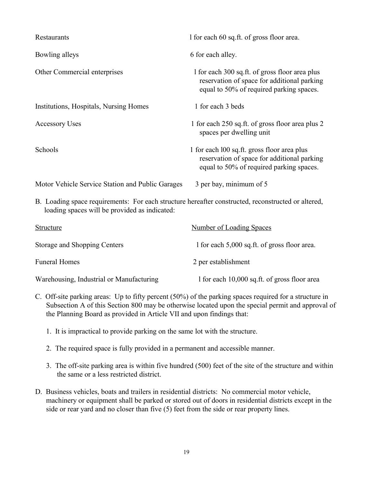| Restaurants                                                                                                                                         | 1 for each 60 sq.ft. of gross floor area.                                                                                                 |  |
|-----------------------------------------------------------------------------------------------------------------------------------------------------|-------------------------------------------------------------------------------------------------------------------------------------------|--|
| Bowling alleys                                                                                                                                      | 6 for each alley.                                                                                                                         |  |
| Other Commercial enterprises                                                                                                                        | 1 for each 300 sq.ft. of gross floor area plus<br>reservation of space for additional parking<br>equal to 50% of required parking spaces. |  |
| Institutions, Hospitals, Nursing Homes                                                                                                              | 1 for each 3 beds                                                                                                                         |  |
| <b>Accessory Uses</b>                                                                                                                               | 1 for each 250 sq.ft. of gross floor area plus 2<br>spaces per dwelling unit                                                              |  |
| Schools                                                                                                                                             | 1 for each 100 sq.ft. gross floor area plus<br>reservation of space for additional parking<br>equal to 50% of required parking spaces.    |  |
| Motor Vehicle Service Station and Public Garages                                                                                                    | 3 per bay, minimum of 5                                                                                                                   |  |
| B. Loading space requirements: For each structure hereafter constructed, reconstructed or altered,<br>loading spaces will be provided as indicated: |                                                                                                                                           |  |

| Structure                                | Number of Loading Spaces                     |
|------------------------------------------|----------------------------------------------|
| Storage and Shopping Centers             | 1 for each 5,000 sq.ft. of gross floor area. |
| <b>Funeral Homes</b>                     | 2 per establishment                          |
| Warehousing, Industrial or Manufacturing | 1 for each 10,000 sq.ft. of gross floor area |

- C. Off-site parking areas: Up to fifty percent (50%) of the parking spaces required for a structure in Subsection A of this Section 800 may be otherwise located upon the special permit and approval of the Planning Board as provided in Article VII and upon findings that:
	- 1. It is impractical to provide parking on the same lot with the structure.
	- 2. The required space is fully provided in a permanent and accessible manner.
	- 3. The off-site parking area is within five hundred (500) feet of the site of the structure and within the same or a less restricted district.
- D. Business vehicles, boats and trailers in residential districts: No commercial motor vehicle, machinery or equipment shall be parked or stored out of doors in residential districts except in the side or rear yard and no closer than five (5) feet from the side or rear property lines.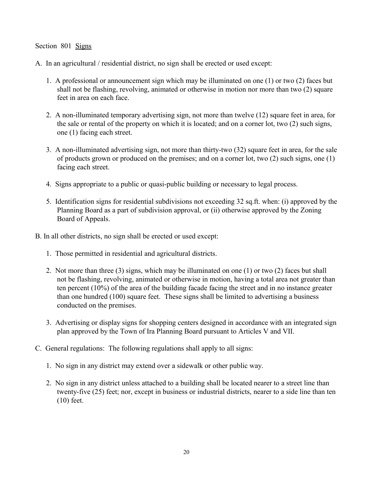### Section 801 Signs

A. In an agricultural / residential district, no sign shall be erected or used except:

- 1. A professional or announcement sign which may be illuminated on one (1) or two (2) faces but shall not be flashing, revolving, animated or otherwise in motion nor more than two (2) square feet in area on each face.
- 2. A non-illuminated temporary advertising sign, not more than twelve (12) square feet in area, for the sale or rental of the property on which it is located; and on a corner lot, two (2) such signs, one (1) facing each street.
- 3. A non-illuminated advertising sign, not more than thirty-two (32) square feet in area, for the sale of products grown or produced on the premises; and on a corner lot, two (2) such signs, one (1) facing each street.
- 4. Signs appropriate to a public or quasi-public building or necessary to legal process.
- 5. Identification signs for residential subdivisions not exceeding 32 sq.ft. when: (i) approved by the Planning Board as a part of subdivision approval, or (ii) otherwise approved by the Zoning Board of Appeals.
- B. In all other districts, no sign shall be erected or used except:
	- 1. Those permitted in residential and agricultural districts.
	- 2. Not more than three (3) signs, which may be illuminated on one (1) or two (2) faces but shall not be flashing, revolving, animated or otherwise in motion, having a total area not greater than ten percent (10%) of the area of the building facade facing the street and in no instance greater than one hundred (100) square feet. These signs shall be limited to advertising a business conducted on the premises.
	- 3. Advertising or display signs for shopping centers designed in accordance with an integrated sign plan approved by the Town of Ira Planning Board pursuant to Articles V and VII.
- C. General regulations: The following regulations shall apply to all signs:
	- 1. No sign in any district may extend over a sidewalk or other public way.
	- 2. No sign in any district unless attached to a building shall be located nearer to a street line than twenty-five (25) feet; nor, except in business or industrial districts, nearer to a side line than ten (10) feet.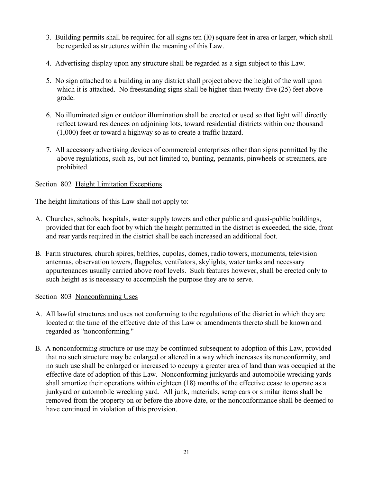- 3. Building permits shall be required for all signs ten (l0) square feet in area or larger, which shall be regarded as structures within the meaning of this Law.
- 4. Advertising display upon any structure shall be regarded as a sign subject to this Law.
- 5. No sign attached to a building in any district shall project above the height of the wall upon which it is attached. No freestanding signs shall be higher than twenty-five (25) feet above grade.
- 6. No illuminated sign or outdoor illumination shall be erected or used so that light will directly reflect toward residences on adjoining lots, toward residential districts within one thousand (1,000) feet or toward a highway so as to create a traffic hazard.
- 7. All accessory advertising devices of commercial enterprises other than signs permitted by the above regulations, such as, but not limited to, bunting, pennants, pinwheels or streamers, are prohibited.

## Section 802 Height Limitation Exceptions

The height limitations of this Law shall not apply to:

- A. Churches, schools, hospitals, water supply towers and other public and quasi-public buildings, provided that for each foot by which the height permitted in the district is exceeded, the side, front and rear yards required in the district shall be each increased an additional foot.
- B. Farm structures, church spires, belfries, cupolas, domes, radio towers, monuments, television antennas, observation towers, flagpoles, ventilators, skylights, water tanks and necessary appurtenances usually carried above roof levels. Such features however, shall be erected only to such height as is necessary to accomplish the purpose they are to serve.

Section 803 Nonconforming Uses

- A. All lawful structures and uses not conforming to the regulations of the district in which they are located at the time of the effective date of this Law or amendments thereto shall be known and regarded as "nonconforming."
- B. A nonconforming structure or use may be continued subsequent to adoption of this Law, provided that no such structure may be enlarged or altered in a way which increases its nonconformity, and no such use shall be enlarged or increased to occupy a greater area of land than was occupied at the effective date of adoption of this Law. Nonconforming junkyards and automobile wrecking yards shall amortize their operations within eighteen (18) months of the effective cease to operate as a junkyard or automobile wrecking yard. All junk, materials, scrap cars or similar items shall be removed from the property on or before the above date, or the nonconformance shall be deemed to have continued in violation of this provision.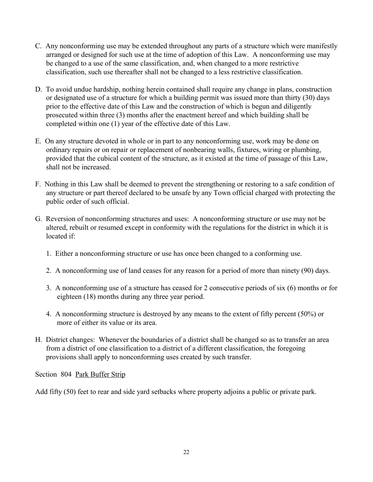- C. Any nonconforming use may be extended throughout any parts of a structure which were manifestly arranged or designed for such use at the time of adoption of this Law. A nonconforming use may be changed to a use of the same classification, and, when changed to a more restrictive classification, such use thereafter shall not be changed to a less restrictive classification.
- D. To avoid undue hardship, nothing herein contained shall require any change in plans, construction or designated use of a structure for which a building permit was issued more than thirty (30) days prior to the effective date of this Law and the construction of which is begun and diligently prosecuted within three (3) months after the enactment hereof and which building shall be completed within one (1) year of the effective date of this Law.
- E. On any structure devoted in whole or in part to any nonconforming use, work may be done on ordinary repairs or on repair or replacement of nonbearing walls, fixtures, wiring or plumbing, provided that the cubical content of the structure, as it existed at the time of passage of this Law, shall not be increased.
- F. Nothing in this Law shall be deemed to prevent the strengthening or restoring to a safe condition of any structure or part thereof declared to be unsafe by any Town official charged with protecting the public order of such official.
- G. Reversion of nonconforming structures and uses: A nonconforming structure or use may not be altered, rebuilt or resumed except in conformity with the regulations for the district in which it is located if:
	- 1. Either a nonconforming structure or use has once been changed to a conforming use.
	- 2. A nonconforming use of land ceases for any reason for a period of more than ninety (90) days.
	- 3. A nonconforming use of a structure has ceased for 2 consecutive periods of six (6) months or for eighteen (18) months during any three year period.
	- 4. A nonconforming structure is destroyed by any means to the extent of fifty percent (50%) or more of either its value or its area.
- H. District changes: Whenever the boundaries of a district shall be changed so as to transfer an area from a district of one classification to a district of a different classification, the foregoing provisions shall apply to nonconforming uses created by such transfer.

Section 804 Park Buffer Strip

Add fifty (50) feet to rear and side yard setbacks where property adjoins a public or private park.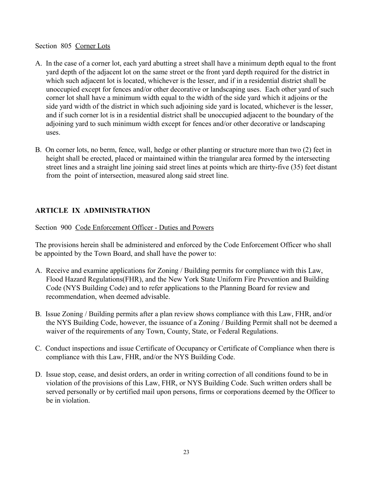### Section 805 Corner Lots

- A. In the case of a corner lot, each yard abutting a street shall have a minimum depth equal to the front yard depth of the adjacent lot on the same street or the front yard depth required for the district in which such adjacent lot is located, whichever is the lesser, and if in a residential district shall be unoccupied except for fences and/or other decorative or landscaping uses. Each other yard of such corner lot shall have a minimum width equal to the width of the side yard which it adjoins or the side yard width of the district in which such adjoining side yard is located, whichever is the lesser, and if such corner lot is in a residential district shall be unoccupied adjacent to the boundary of the adjoining yard to such minimum width except for fences and/or other decorative or landscaping uses.
- B. On corner lots, no berm, fence, wall, hedge or other planting or structure more than two (2) feet in height shall be erected, placed or maintained within the triangular area formed by the intersecting street lines and a straight line joining said street lines at points which are thirty-five (35) feet distant from the point of intersection, measured along said street line.

# **ARTICLE IX ADMINISTRATION**

Section 900 Code Enforcement Officer - Duties and Powers

The provisions herein shall be administered and enforced by the Code Enforcement Officer who shall be appointed by the Town Board, and shall have the power to:

- A. Receive and examine applications for Zoning / Building permits for compliance with this Law, Flood Hazard Regulations(FHR), and the New York State Uniform Fire Prevention and Building Code (NYS Building Code) and to refer applications to the Planning Board for review and recommendation, when deemed advisable.
- B. Issue Zoning / Building permits after a plan review shows compliance with this Law, FHR, and/or the NYS Building Code, however, the issuance of a Zoning / Building Permit shall not be deemed a waiver of the requirements of any Town, County, State, or Federal Regulations.
- C. Conduct inspections and issue Certificate of Occupancy or Certificate of Compliance when there is compliance with this Law, FHR, and/or the NYS Building Code.
- D. Issue stop, cease, and desist orders, an order in writing correction of all conditions found to be in violation of the provisions of this Law, FHR, or NYS Building Code. Such written orders shall be served personally or by certified mail upon persons, firms or corporations deemed by the Officer to be in violation.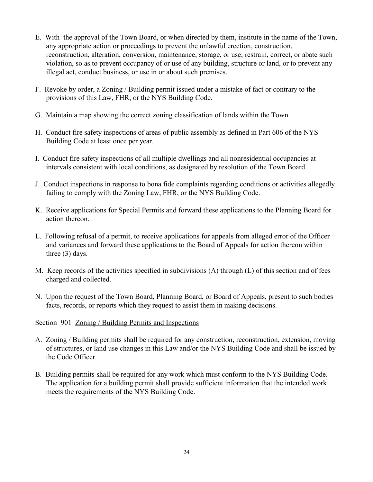- E. With the approval of the Town Board, or when directed by them, institute in the name of the Town, any appropriate action or proceedings to prevent the unlawful erection, construction, reconstruction, alteration, conversion, maintenance, storage, or use; restrain, correct, or abate such violation, so as to prevent occupancy of or use of any building, structure or land, or to prevent any illegal act, conduct business, or use in or about such premises.
- F. Revoke by order, a Zoning / Building permit issued under a mistake of fact or contrary to the provisions of this Law, FHR, or the NYS Building Code.
- G. Maintain a map showing the correct zoning classification of lands within the Town.
- H. Conduct fire safety inspections of areas of public assembly as defined in Part 606 of the NYS Building Code at least once per year.
- I. Conduct fire safety inspections of all multiple dwellings and all nonresidential occupancies at intervals consistent with local conditions, as designated by resolution of the Town Board.
- J. Conduct inspections in response to bona fide complaints regarding conditions or activities allegedly failing to comply with the Zoning Law, FHR, or the NYS Building Code.
- K. Receive applications for Special Permits and forward these applications to the Planning Board for action thereon.
- L. Following refusal of a permit, to receive applications for appeals from alleged error of the Officer and variances and forward these applications to the Board of Appeals for action thereon within three (3) days.
- M. Keep records of the activities specified in subdivisions (A) through (L) of this section and of fees charged and collected.
- N. Upon the request of the Town Board, Planning Board, or Board of Appeals, present to such bodies facts, records, or reports which they request to assist them in making decisions.
- Section 901 <u>Zoning / Building Permits and Inspections</u>
- A. Zoning / Building permits shall be required for any construction, reconstruction, extension, moving of structures, or land use changes in this Law and/or the NYS Building Code and shall be issued by the Code Officer.
- B. Building permits shall be required for any work which must conform to the NYS Building Code. The application for a building permit shall provide sufficient information that the intended work meets the requirements of the NYS Building Code.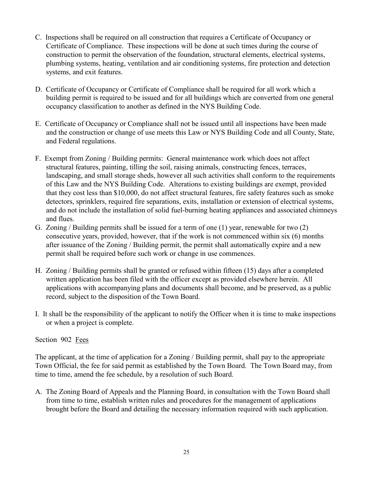- C. Inspections shall be required on all construction that requires a Certificate of Occupancy or Certificate of Compliance. These inspections will be done at such times during the course of construction to permit the observation of the foundation, structural elements, electrical systems, plumbing systems, heating, ventilation and air conditioning systems, fire protection and detection systems, and exit features.
- D. Certificate of Occupancy or Certificate of Compliance shall be required for all work which a building permit is required to be issued and for all buildings which are converted from one general occupancy classification to another as defined in the NYS Building Code.
- E. Certificate of Occupancy or Compliance shall not be issued until all inspections have been made and the construction or change of use meets this Law or NYS Building Code and all County, State, and Federal regulations.
- F. Exempt from Zoning / Building permits: General maintenance work which does not affect structural features, painting, tilling the soil, raising animals, constructing fences, terraces, landscaping, and small storage sheds, however all such activities shall conform to the requirements of this Law and the NYS Building Code. Alterations to existing buildings are exempt, provided that they cost less than \$10,000, do not affect structural features, fire safety features such as smoke detectors, sprinklers, required fire separations, exits, installation or extension of electrical systems, and do not include the installation of solid fuel-burning heating appliances and associated chimneys and flues.
- G. Zoning / Building permits shall be issued for a term of one (1) year, renewable for two (2) consecutive years, provided, however, that if the work is not commenced within six (6) months after issuance of the Zoning / Building permit, the permit shall automatically expire and a new permit shall be required before such work or change in use commences.
- H. Zoning / Building permits shall be granted or refused within fifteen (15) days after a completed written application has been filed with the officer except as provided elsewhere herein. All applications with accompanying plans and documents shall become, and be preserved, as a public record, subject to the disposition of the Town Board.
- I. It shall be the responsibility of the applicant to notify the Officer when it is time to make inspections or when a project is complete.

## Section 902 Fees

The applicant, at the time of application for a Zoning / Building permit, shall pay to the appropriate Town Official, the fee for said permit as established by the Town Board. The Town Board may, from time to time, amend the fee schedule, by a resolution of such Board.

A. The Zoning Board of Appeals and the Planning Board, in consultation with the Town Board shall from time to time, establish written rules and procedures for the management of applications brought before the Board and detailing the necessary information required with such application.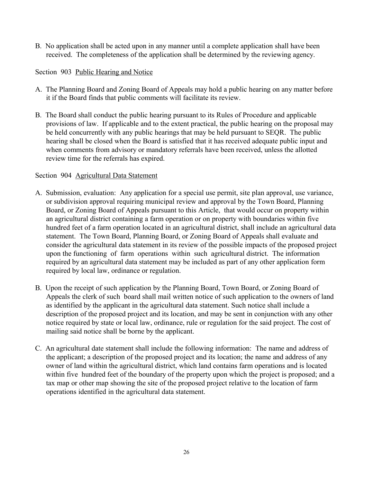B. No application shall be acted upon in any manner until a complete application shall have been received. The completeness of the application shall be determined by the reviewing agency.

## Section 903 Public Hearing and Notice

- A. The Planning Board and Zoning Board of Appeals may hold a public hearing on any matter before it if the Board finds that public comments will facilitate its review.
- B. The Board shall conduct the public hearing pursuant to its Rules of Procedure and applicable provisions of law. If applicable and to the extent practical, the public hearing on the proposal may be held concurrently with any public hearings that may be held pursuant to SEQR. The public hearing shall be closed when the Board is satisfied that it has received adequate public input and when comments from advisory or mandatory referrals have been received, unless the allotted review time for the referrals has expired.

## Section 904 Agricultural Data Statement

- A. Submission, evaluation: Any application for a special use permit, site plan approval, use variance, or subdivision approval requiring municipal review and approval by the Town Board, Planning Board, or Zoning Board of Appeals pursuant to this Article, that would occur on property within an agricultural district containing a farm operation or on property with boundaries within five hundred feet of a farm operation located in an agricultural district, shall include an agricultural data statement. The Town Board, Planning Board, or Zoning Board of Appeals shall evaluate and consider the agricultural data statement in its review of the possible impacts of the proposed project upon the functioning of farm operations within such agricultural district. The information required by an agricultural data statement may be included as part of any other application form required by local law, ordinance or regulation.
- B. Upon the receipt of such application by the Planning Board, Town Board, or Zoning Board of Appeals the clerk of such board shall mail written notice of such application to the owners of land as identified by the applicant in the agricultural data statement. Such notice shall include a description of the proposed project and its location, and may be sent in conjunction with any other notice required by state or local law, ordinance, rule or regulation for the said project. The cost of mailing said notice shall be borne by the applicant.
- C. An agricultural date statement shall include the following information: The name and address of the applicant; a description of the proposed project and its location; the name and address of any owner of land within the agricultural district, which land contains farm operations and is located within five hundred feet of the boundary of the property upon which the project is proposed; and a tax map or other map showing the site of the proposed project relative to the location of farm operations identified in the agricultural data statement.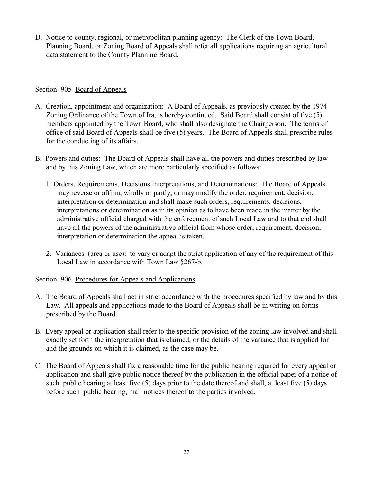D. Notice to county, regional, or metropolitan planning agency: The Clerk of the Town Board, Planning Board, or Zoning Board of Appeals shall refer all applications requiring an agricultural data statement to the County Planning Board.

## Section 905 Board of Appeals

- A. Creation, appointment and organization: A Board of Appeals, as previously created by the 1974 Zoning Ordinance of the Town of Ira, is hereby continued. Said Board shall consist of five (5) members appointed by the Town Board, who shall also designate the Chairperson. The terms of office of said Board of Appeals shall be five (5) years. The Board of Appeals shall prescribe rules for the conducting of its affairs.
- B. Powers and duties: The Board of Appeals shall have all the powers and duties prescribed by law and by this Zoning Law, which are more particularly specified as follows:
	- l. Orders, Requirements, Decisions Interpretations, and Determinations: The Board of Appeals may reverse or affirm, wholly or partly, or may modify the order, requirement, decision, interpretation or determination and shall make such orders, requirements, decisions, interpretations or determination as in its opinion as to have been made in the matter by the administrative official charged with the enforcement of such Local Law and to that end shall have all the powers of the administrative official from whose order, requirement, decision, interpretation or determination the appeal is taken.
	- 2. Variances (area or use): to vary or adapt the strict application of any of the requirement of this Local Law in accordance with Town Law §267-b.

## Section 906 Procedures for Appeals and Applications

- A. The Board of Appeals shall act in strict accordance with the procedures specified by law and by this Law. All appeals and applications made to the Board of Appeals shall be in writing on forms prescribed by the Board.
- B. Every appeal or application shall refer to the specific provision of the zoning law involved and shall exactly set forth the interpretation that is claimed, or the details of the variance that is applied for and the grounds on which it is claimed, as the case may be.
- C. The Board of Appeals shall fix a reasonable time for the public hearing required for every appeal or application and shall give public notice thereof by the publication in the official paper of a notice of such public hearing at least five (5) days prior to the date thereof and shall, at least five (5) days before such public hearing, mail notices thereof to the parties involved.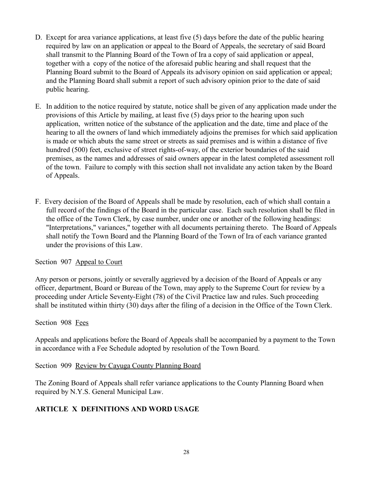- D. Except for area variance applications, at least five (5) days before the date of the public hearing required by law on an application or appeal to the Board of Appeals, the secretary of said Board shall transmit to the Planning Board of the Town of Ira a copy of said application or appeal, together with a copy of the notice of the aforesaid public hearing and shall request that the Planning Board submit to the Board of Appeals its advisory opinion on said application or appeal; and the Planning Board shall submit a report of such advisory opinion prior to the date of said public hearing.
- E. In addition to the notice required by statute, notice shall be given of any application made under the provisions of this Article by mailing, at least five (5) days prior to the hearing upon such application, written notice of the substance of the application and the date, time and place of the hearing to all the owners of land which immediately adjoins the premises for which said application is made or which abuts the same street or streets as said premises and is within a distance of five hundred (500) feet, exclusive of street rights-of-way, of the exterior boundaries of the said premises, as the names and addresses of said owners appear in the latest completed assessment roll of the town. Failure to comply with this section shall not invalidate any action taken by the Board of Appeals.
- F. Every decision of the Board of Appeals shall be made by resolution, each of which shall contain a full record of the findings of the Board in the particular case. Each such resolution shall be filed in the office of the Town Clerk, by case number, under one or another of the following headings: "Interpretations," variances," together with all documents pertaining thereto. The Board of Appeals shall notify the Town Board and the Planning Board of the Town of Ira of each variance granted under the provisions of this Law.

Section 907 Appeal to Court

Any person or persons, jointly or severally aggrieved by a decision of the Board of Appeals or any officer, department, Board or Bureau of the Town, may apply to the Supreme Court for review by a proceeding under Article Seventy-Eight (78) of the Civil Practice law and rules. Such proceeding shall be instituted within thirty (30) days after the filing of a decision in the Office of the Town Clerk.

# Section 908 Fees

Appeals and applications before the Board of Appeals shall be accompanied by a payment to the Town in accordance with a Fee Schedule adopted by resolution of the Town Board.

Section 909 Review by Cayuga County Planning Board

The Zoning Board of Appeals shall refer variance applications to the County Planning Board when required by N.Y.S. General Municipal Law.

# **ARTICLE X DEFINITIONS AND WORD USAGE**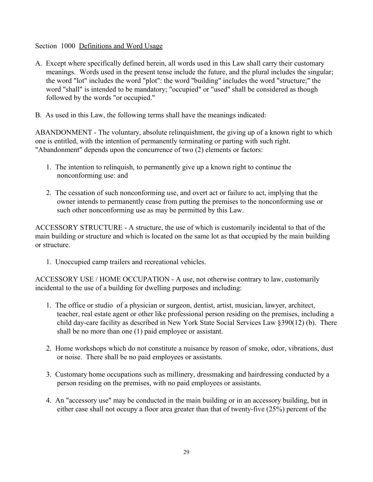Section 1000 Definitions and Word Usage

- A. Except where specifically defined herein, all words used in this Law shall carry their customary meanings. Words used in the present tense include the future, and the plural includes the singular; the word "lot" includes the word "plot": the word ''building" includes the word "structure;" the word "shall" is intended to be mandatory; "occupied" or "used" shall be considered as though followed by the words "or occupied."
- B. As used in this Law, the following terms shall have the meanings indicated:

ABANDONMENT - The voluntary, absolute relinquishment, the giving up of a known right to which one is entitled, with the intention of permanently terminating or parting with such right. "Abandonment" depends upon the concurrence of two (2) elements or factors:

- 1. The intention to relinquish, to permanently give up a known right to continue the nonconforming use: and
- 2. The cessation of such nonconforming use, and overt act or failure to act, implying that the owner intends to permanently cease from putting the premises to the nonconforming use or such other nonconforming use as may be permitted by this Law.

ACCESSORY STRUCTURE - A structure, the use of which is customarily incidental to that of the main building or structure and which is located on the same lot as that occupied by the main building or structure.

1. Unoccupied camp trailers and recreational vehicles.

ACCESSORY USE / HOME OCCUPATION - A use, not otherwise contrary to law, customarily incidental to the use of a building for dwelling purposes and including:

- 1. The office or studio of a physician or surgeon, dentist, artist, musician, lawyer, architect, teacher, real estate agent or other like professional person residing on the premises, including a child day-care facility as described in New York State Social Services Law §390(12) (b). There shall be no more than one (1) paid employee or assistant.
- 2. Home workshops which do not constitute a nuisance by reason of smoke, odor, vibrations, dust or noise. There shall be no paid employees or assistants.
- 3. Customary home occupations such as millinery, dressmaking and hairdressing conducted by a person residing on the premises, with no paid employees or assistants.
- 4. An "accessory use" may be conducted in the main building or in an accessory building, but in either case shall not occupy a floor area greater than that of twenty-five (25%) percent of the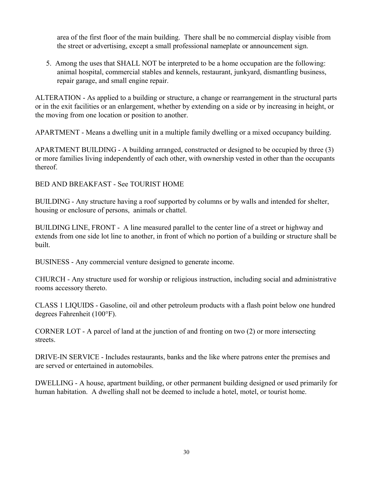area of the first floor of the main building. There shall be no commercial display visible from the street or advertising, except a small professional nameplate or announcement sign.

5. Among the uses that SHALL NOT be interpreted to be a home occupation are the following: animal hospital, commercial stables and kennels, restaurant, junkyard, dismantling business, repair garage, and small engine repair.

ALTERATION - As applied to a building or structure, a change or rearrangement in the structural parts or in the exit facilities or an enlargement, whether by extending on a side or by increasing in height, or the moving from one location or position to another.

APARTMENT - Means a dwelling unit in a multiple family dwelling or a mixed occupancy building.

APARTMENT BUILDING - A building arranged, constructed or designed to be occupied by three (3) or more families living independently of each other, with ownership vested in other than the occupants thereof.

BED AND BREAKFAST - See TOURIST HOME

BUILDING - Any structure having a roof supported by columns or by walls and intended for shelter, housing or enclosure of persons, animals or chattel.

BUILDING LINE, FRONT - A line measured parallel to the center line of a street or highway and extends from one side lot line to another, in front of which no portion of a building or structure shall be built.

BUSINESS - Any commercial venture designed to generate income.

CHURCH - Any structure used for worship or religious instruction, including social and administrative rooms accessory thereto.

CLASS 1 LIQUIDS - Gasoline, oil and other petroleum products with a flash point below one hundred degrees Fahrenheit (100°F).

CORNER LOT - A parcel of land at the junction of and fronting on two (2) or more intersecting streets.

DRIVE-IN SERVICE - Includes restaurants, banks and the like where patrons enter the premises and are served or entertained in automobiles.

DWELLING - A house, apartment building, or other permanent building designed or used primarily for human habitation. A dwelling shall not be deemed to include a hotel, motel, or tourist home.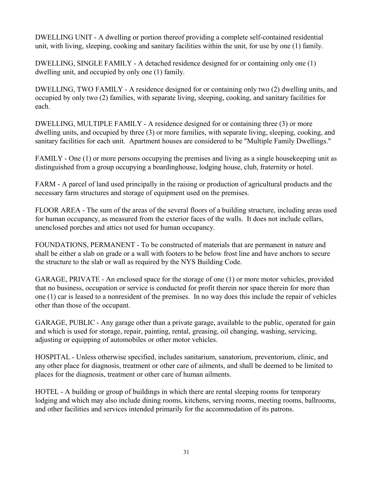DWELLING UNIT - A dwelling or portion thereof providing a complete self-contained residential unit, with living, sleeping, cooking and sanitary facilities within the unit, for use by one (1) family.

DWELLING, SINGLE FAMILY - A detached residence designed for or containing only one (1) dwelling unit, and occupied by only one (1) family.

DWELLING, TWO FAMILY - A residence designed for or containing only two (2) dwelling units, and occupied by only two (2) families, with separate living, sleeping, cooking, and sanitary facilities for each.

DWELLING, MULTIPLE FAMILY - A residence designed for or containing three (3) or more dwelling units, and occupied by three (3) or more families, with separate living, sleeping, cooking, and sanitary facilities for each unit. Apartment houses are considered to be "Multiple Family Dwellings."

FAMILY - One (1) or more persons occupying the premises and living as a single housekeeping unit as distinguished from a group occupying a boardinghouse, lodging house, club, fraternity or hotel.

FARM - A parcel of land used principally in the raising or production of agricultural products and the necessary farm structures and storage of equipment used on the premises.

FLOOR AREA - The sum of the areas of the several floors of a building structure, including areas used for human occupancy, as measured from the exterior faces of the walls. It does not include cellars, unenclosed porches and attics not used for human occupancy.

FOUNDATIONS, PERMANENT - To be constructed of materials that are permanent in nature and shall be either a slab on grade or a wall with footers to be below frost line and have anchors to secure the structure to the slab or wall as required by the NYS Building Code.

GARAGE, PRIVATE - An enclosed space for the storage of one (1) or more motor vehicles, provided that no business, occupation or service is conducted for profit therein nor space therein for more than one (1) car is leased to a nonresident of the premises. In no way does this include the repair of vehicles other than those of the occupant.

GARAGE, PUBLIC - Any garage other than a private garage, available to the public, operated for gain and which is used for storage, repair, painting, rental, greasing, oil changing, washing, servicing, adjusting or equipping of automobiles or other motor vehicles.

HOSPITAL - Unless otherwise specified, includes sanitarium, sanatorium, preventorium, clinic, and any other place for diagnosis, treatment or other care of ailments, and shall be deemed to be limited to places for the diagnosis, treatment or other care of human ailments.

HOTEL - A building or group of buildings in which there are rental sleeping rooms for temporary lodging and which may also include dining rooms, kitchens, serving rooms, meeting rooms, ballrooms, and other facilities and services intended primarily for the accommodation of its patrons.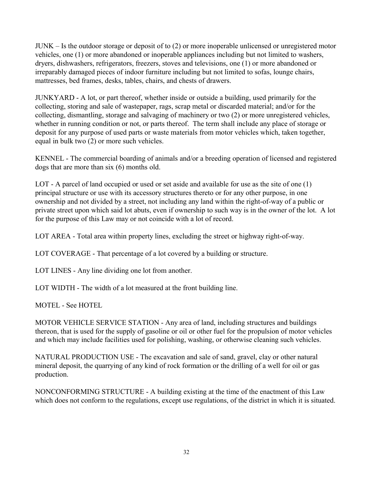JUNK – Is the outdoor storage or deposit of to (2) or more inoperable unlicensed or unregistered motor vehicles, one (1) or more abandoned or inoperable appliances including but not limited to washers, dryers, dishwashers, refrigerators, freezers, stoves and televisions, one (1) or more abandoned or irreparably damaged pieces of indoor furniture including but not limited to sofas, lounge chairs, mattresses, bed frames, desks, tables, chairs, and chests of drawers.

JUNKYARD - A lot, or part thereof, whether inside or outside a building, used primarily for the collecting, storing and sale of wastepaper, rags, scrap metal or discarded material; and/or for the collecting, dismantling, storage and salvaging of machinery or two (2) or more unregistered vehicles, whether in running condition or not, or parts thereof. The term shall include any place of storage or deposit for any purpose of used parts or waste materials from motor vehicles which, taken together, equal in bulk two (2) or more such vehicles.

KENNEL - The commercial boarding of animals and/or a breeding operation of licensed and registered dogs that are more than six (6) months old.

LOT - A parcel of land occupied or used or set aside and available for use as the site of one (1) principal structure or use with its accessory structures thereto or for any other purpose, in one ownership and not divided by a street, not including any land within the right-of-way of a public or private street upon which said lot abuts, even if ownership to such way is in the owner of the lot. A lot for the purpose of this Law may or not coincide with a lot of record.

LOT AREA - Total area within property lines, excluding the street or highway right-of-way.

LOT COVERAGE - That percentage of a lot covered by a building or structure.

LOT LINES - Any line dividing one lot from another.

LOT WIDTH - The width of a lot measured at the front building line.

MOTEL - See HOTEL

MOTOR VEHICLE SERVICE STATION - Any area of land, including structures and buildings thereon, that is used for the supply of gasoline or oil or other fuel for the propulsion of motor vehicles and which may include facilities used for polishing, washing, or otherwise cleaning such vehicles.

NATURAL PRODUCTION USE - The excavation and sale of sand, gravel, clay or other natural mineral deposit, the quarrying of any kind of rock formation or the drilling of a well for oil or gas production.

NONCONFORMING STRUCTURE - A building existing at the time of the enactment of this Law which does not conform to the regulations, except use regulations, of the district in which it is situated.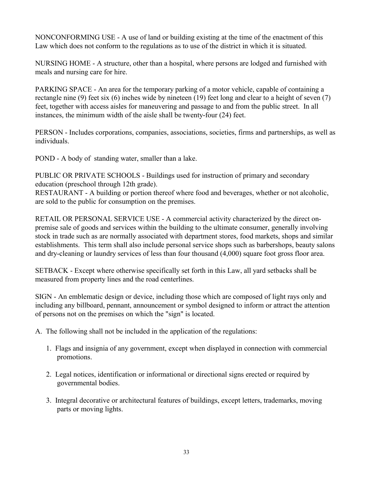NONCONFORMING USE - A use of land or building existing at the time of the enactment of this Law which does not conform to the regulations as to use of the district in which it is situated.

NURSING HOME - A structure, other than a hospital, where persons are lodged and furnished with meals and nursing care for hire.

PARKING SPACE - An area for the temporary parking of a motor vehicle, capable of containing a rectangle nine (9) feet six (6) inches wide by nineteen (19) feet long and clear to a height of seven (7) feet, together with access aisles for maneuvering and passage to and from the public street. In all instances, the minimum width of the aisle shall be twenty-four (24) feet.

PERSON - Includes corporations, companies, associations, societies, firms and partnerships, as well as individuals.

POND - A body of standing water, smaller than a lake.

PUBLIC OR PRIVATE SCHOOLS - Buildings used for instruction of primary and secondary education (preschool through 12th grade).

RESTAURANT - A building or portion thereof where food and beverages, whether or not alcoholic, are sold to the public for consumption on the premises.

RETAIL OR PERSONAL SERVICE USE - A commercial activity characterized by the direct onpremise sale of goods and services within the building to the ultimate consumer, generally involving stock in trade such as are normally associated with department stores, food markets, shops and similar establishments. This term shall also include personal service shops such as barbershops, beauty salons and dry-cleaning or laundry services of less than four thousand (4,000) square foot gross floor area.

SETBACK - Except where otherwise specifically set forth in this Law, all yard setbacks shall be measured from property lines and the road centerlines.

SIGN - An emblematic design or device, including those which are composed of light rays only and including any billboard, pennant, announcement or symbol designed to inform or attract the attention of persons not on the premises on which the "sign" is located.

- A. The following shall not be included in the application of the regulations:
	- 1. Flags and insignia of any government, except when displayed in connection with commercial promotions.
	- 2. Legal notices, identification or informational or directional signs erected or required by governmental bodies.
	- 3. Integral decorative or architectural features of buildings, except letters, trademarks, moving parts or moving lights.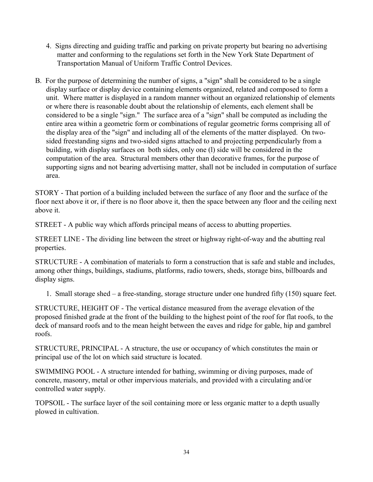- 4. Signs directing and guiding traffic and parking on private property but bearing no advertising matter and conforming to the regulations set forth in the New York State Department of Transportation Manual of Uniform Traffic Control Devices.
- B. For the purpose of determining the number of signs, a "sign" shall be considered to be a single display surface or display device containing elements organized, related and composed to form a unit. Where matter is displayed in a random manner without an organized relationship of elements or where there is reasonable doubt about the relationship of elements, each element shall be considered to be a single "sign." The surface area of a "sign" shall be computed as including the entire area within a geometric form or combinations of regular geometric forms comprising all of the display area of the "sign" and including all of the elements of the matter displayed. On twosided freestanding signs and two-sided signs attached to and projecting perpendicularly from a building, with display surfaces on both sides, only one (l) side will be considered in the computation of the area. Structural members other than decorative frames, for the purpose of supporting signs and not bearing advertising matter, shall not be included in computation of surface area.

STORY - That portion of a building included between the surface of any floor and the surface of the floor next above it or, if there is no floor above it, then the space between any floor and the ceiling next above it.

STREET - A public way which affords principal means of access to abutting properties.

STREET LINE - The dividing line between the street or highway right-of-way and the abutting real properties.

STRUCTURE - A combination of materials to form a construction that is safe and stable and includes, among other things, buildings, stadiums, platforms, radio towers, sheds, storage bins, billboards and display signs.

1. Small storage shed – a free-standing, storage structure under one hundred fifty (150) square feet.

STRUCTURE, HEIGHT OF - The vertical distance measured from the average elevation of the proposed finished grade at the front of the building to the highest point of the roof for flat roofs, to the deck of mansard roofs and to the mean height between the eaves and ridge for gable, hip and gambrel roofs.

STRUCTURE, PRINCIPAL - A structure, the use or occupancy of which constitutes the main or principal use of the lot on which said structure is located.

SWIMMING POOL - A structure intended for bathing, swimming or diving purposes, made of concrete, masonry, metal or other impervious materials, and provided with a circulating and/or controlled water supply.

TOPSOIL - The surface layer of the soil containing more or less organic matter to a depth usually plowed in cultivation.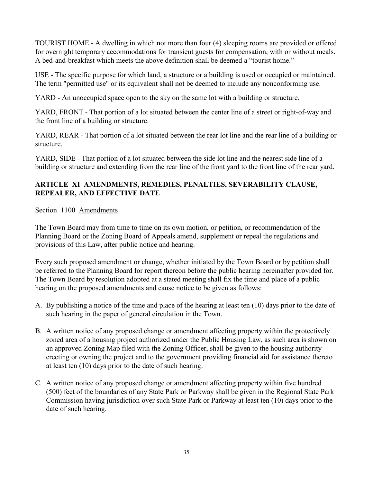TOURIST HOME - A dwelling in which not more than four (4) sleeping rooms are provided or offered for overnight temporary accommodations for transient guests for compensation, with or without meals. A bed-and-breakfast which meets the above definition shall be deemed a "tourist home."

USE - The specific purpose for which land, a structure or a building is used or occupied or maintained. The term "permitted use" or its equivalent shall not be deemed to include any nonconforming use.

YARD - An unoccupied space open to the sky on the same lot with a building or structure.

YARD, FRONT - That portion of a lot situated between the center line of a street or right-of-way and the front line of a building or structure.

YARD, REAR - That portion of a lot situated between the rear lot line and the rear line of a building or structure.

YARD, SIDE - That portion of a lot situated between the side lot line and the nearest side line of a building or structure and extending from the rear line of the front yard to the front line of the rear yard.

# **ARTICLE XI AMENDMENTS, REMEDIES, PENALTIES, SEVERABILITY CLAUSE, REPEALER, AND EFFECTIVE DATE**

Section 1100 Amendments

The Town Board may from time to time on its own motion, or petition, or recommendation of the Planning Board or the Zoning Board of Appeals amend, supplement or repeal the regulations and provisions of this Law, after public notice and hearing.

Every such proposed amendment or change, whether initiated by the Town Board or by petition shall be referred to the Planning Board for report thereon before the public hearing hereinafter provided for. The Town Board by resolution adopted at a stated meeting shall fix the time and place of a public hearing on the proposed amendments and cause notice to be given as follows:

- A. By publishing a notice of the time and place of the hearing at least ten (10) days prior to the date of such hearing in the paper of general circulation in the Town.
- B. A written notice of any proposed change or amendment affecting property within the protectively zoned area of a housing project authorized under the Public Housing Law, as such area is shown on an approved Zoning Map filed with the Zoning Officer, shall be given to the housing authority erecting or owning the project and to the government providing financial aid for assistance thereto at least ten (10) days prior to the date of such hearing.
- C. A written notice of any proposed change or amendment affecting property within five hundred (500) feet of the boundaries of any State Park or Parkway shall be given in the Regional State Park Commission having jurisdiction over such State Park or Parkway at least ten (10) days prior to the date of such hearing.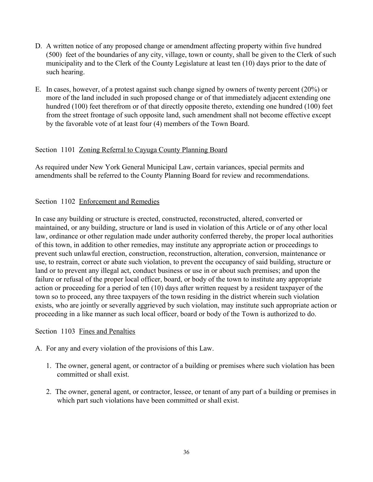- D. A written notice of any proposed change or amendment affecting property within five hundred (500) feet of the boundaries of any city, village, town or county, shall be given to the Clerk of such municipality and to the Clerk of the County Legislature at least ten (10) days prior to the date of such hearing.
- E. In cases, however, of a protest against such change signed by owners of twenty percent (20%) or more of the land included in such proposed change or of that immediately adjacent extending one hundred (100) feet therefrom or of that directly opposite thereto, extending one hundred (100) feet from the street frontage of such opposite land, such amendment shall not become effective except by the favorable vote of at least four (4) members of the Town Board.

## Section 1101 Zoning Referral to Cayuga County Planning Board

As required under New York General Municipal Law, certain variances, special permits and amendments shall be referred to the County Planning Board for review and recommendations.

## Section 1102 Enforcement and Remedies

In case any building or structure is erected, constructed, reconstructed, altered, converted or maintained, or any building, structure or land is used in violation of this Article or of any other local law, ordinance or other regulation made under authority conferred thereby, the proper local authorities of this town, in addition to other remedies, may institute any appropriate action or proceedings to prevent such unlawful erection, construction, reconstruction, alteration, conversion, maintenance or use, to restrain, correct or abate such violation, to prevent the occupancy of said building, structure or land or to prevent any illegal act, conduct business or use in or about such premises; and upon the failure or refusal of the proper local officer, board, or body of the town to institute any appropriate action or proceeding for a period of ten (10) days after written request by a resident taxpayer of the town so to proceed, any three taxpayers of the town residing in the district wherein such violation exists, who are jointly or severally aggrieved by such violation, may institute such appropriate action or proceeding in a like manner as such local officer, board or body of the Town is authorized to do.

## Section 1103 Fines and Penalties

A. For any and every violation of the provisions of this Law.

- 1. The owner, general agent, or contractor of a building or premises where such violation has been committed or shall exist.
- 2. The owner, general agent, or contractor, lessee, or tenant of any part of a building or premises in which part such violations have been committed or shall exist.